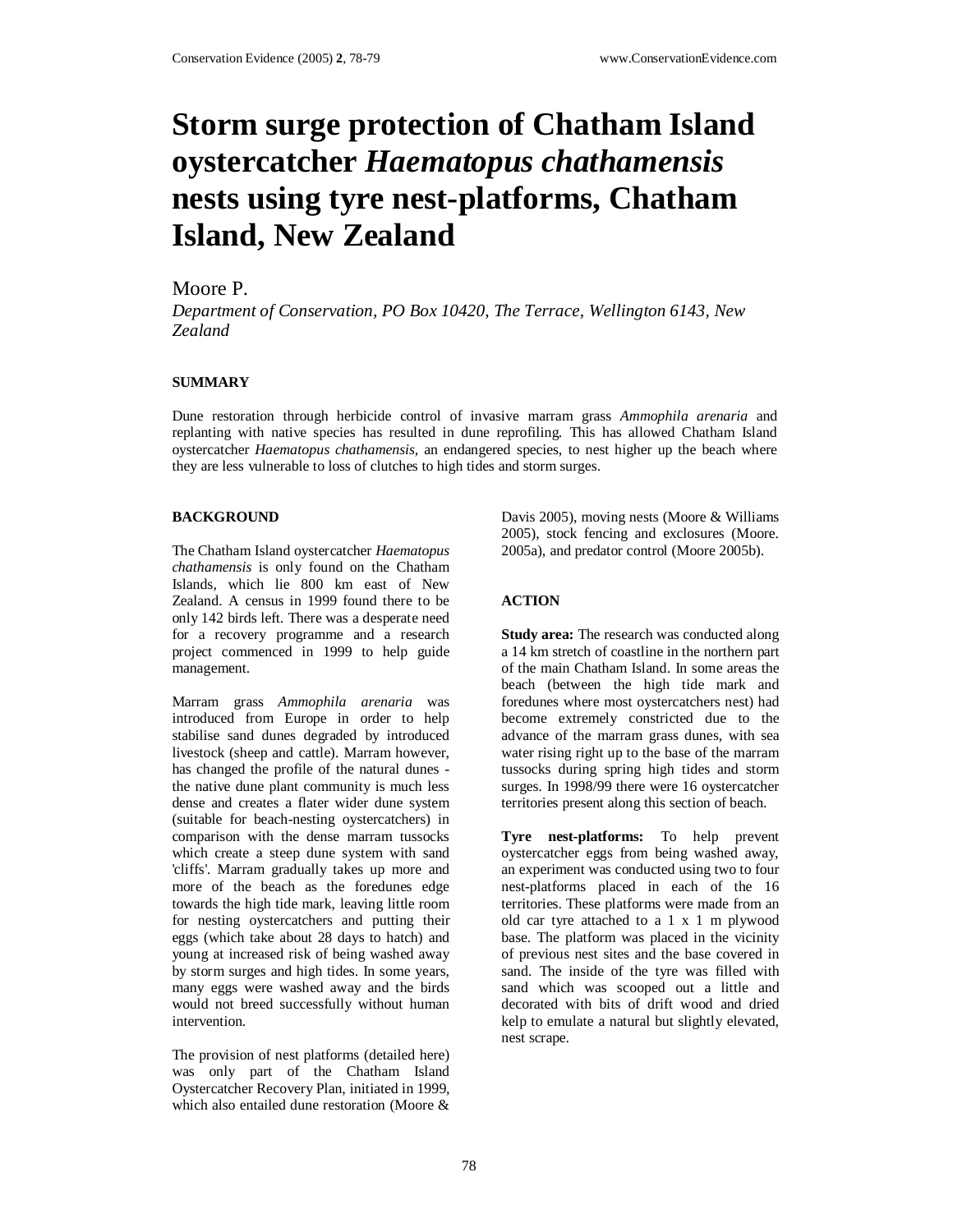# **Storm surge protection of Chatham Island oystercatcher** *Haematopus chathamensis* **nests using tyre nest-platforms, Chatham Island, New Zealand**

## Moore P.

*Department of Conservation, PO Box 10420, The Terrace, Wellington 6143, New Zealand*

### **SUMMARY**

Dune restoration through herbicide control of invasive marram grass *Ammophila arenaria* and replanting with native species has resulted in dune reprofiling. This has allowed Chatham Island oystercatcher *Haematopus chathamensis*, an endangered species, to nest higher up the beach where they are less vulnerable to loss of clutches to high tides and storm surges.

#### **BACKGROUND**

The Chatham Island oystercatcher *Haematopus chathamensis* is only found on the Chatham Islands, which lie 800 km east of New Zealand. A census in 1999 found there to be only 142 birds left. There was a desperate need for a recovery programme and a research project commenced in 1999 to help guide management.

Marram grass *Ammophila arenaria* was introduced from Europe in order to help stabilise sand dunes degraded by introduced livestock (sheep and cattle). Marram however, has changed the profile of the natural dunes the native dune plant community is much less dense and creates a flater wider dune system (suitable for beach-nesting oystercatchers) in comparison with the dense marram tussocks which create a steep dune system with sand 'cliffs'. Marram gradually takes up more and more of the beach as the foredunes edge towards the high tide mark, leaving little room for nesting oystercatchers and putting their eggs (which take about 28 days to hatch) and young at increased risk of being washed away by storm surges and high tides. In some years, many eggs were washed away and the birds would not breed successfully without human intervention.

The provision of nest platforms (detailed here) was only part of the Chatham Island Oystercatcher Recovery Plan, initiated in 1999, which also entailed dune restoration (Moore &

Davis 2005), moving nests (Moore & Williams 2005), stock fencing and exclosures (Moore. 2005a), and predator control (Moore 2005b).

## **ACTION**

**Study area:** The research was conducted along a 14 km stretch of coastline in the northern part of the main Chatham Island. In some areas the beach (between the high tide mark and foredunes where most oystercatchers nest) had become extremely constricted due to the advance of the marram grass dunes, with sea water rising right up to the base of the marram tussocks during spring high tides and storm surges. In 1998/99 there were 16 oystercatcher territories present along this section of beach.

**Tyre nest-platforms:** To help prevent oystercatcher eggs from being washed away, an experiment was conducted using two to four nest-platforms placed in each of the 16 territories. These platforms were made from an old car tyre attached to a 1 x 1 m plywood base. The platform was placed in the vicinity of previous nest sites and the base covered in sand. The inside of the tyre was filled with sand which was scooped out a little and decorated with bits of drift wood and dried kelp to emulate a natural but slightly elevated, nest scrape.